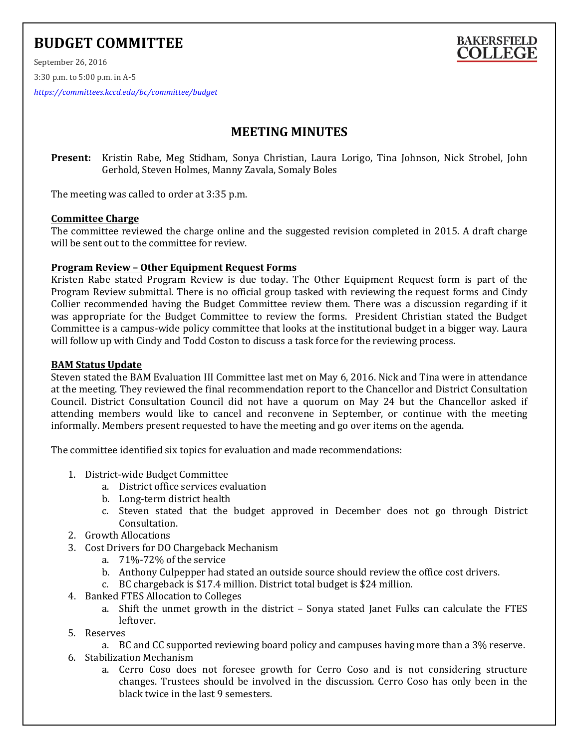# **BUDGET COMMITTEE**



September 26, 2016 3:30 p.m. to 5:00 p.m. in A-5 *<https://committees.kccd.edu/bc/committee/budget>*

# **MEETING MINUTES**

**Present:** Kristin Rabe, Meg Stidham, Sonya Christian, Laura Lorigo, Tina Johnson, Nick Strobel, John Gerhold, Steven Holmes, Manny Zavala, Somaly Boles

The meeting was called to order at 3:35 p.m.

#### **Committee Charge**

The committee reviewed the charge online and the suggested revision completed in 2015. A draft charge will be sent out to the committee for review.

# **Program Review – Other Equipment Request Forms**

Kristen Rabe stated Program Review is due today. The Other Equipment Request form is part of the Program Review submittal. There is no official group tasked with reviewing the request forms and Cindy Collier recommended having the Budget Committee review them. There was a discussion regarding if it was appropriate for the Budget Committee to review the forms. President Christian stated the Budget Committee is a campus-wide policy committee that looks at the institutional budget in a bigger way. Laura will follow up with Cindy and Todd Coston to discuss a task force for the reviewing process.

# **BAM Status Update**

Steven stated the BAM Evaluation III Committee last met on May 6, 2016. Nick and Tina were in attendance at the meeting. They reviewed the final recommendation report to the Chancellor and District Consultation Council. District Consultation Council did not have a quorum on May 24 but the Chancellor asked if attending members would like to cancel and reconvene in September, or continue with the meeting informally. Members present requested to have the meeting and go over items on the agenda.

The committee identified six topics for evaluation and made recommendations:

- 1. District-wide Budget Committee
	- a. District office services evaluation
	- b. Long-term district health
	- c. Steven stated that the budget approved in December does not go through District Consultation.
- 2. Growth Allocations
- 3. Cost Drivers for DO Chargeback Mechanism
	- a. 71%-72% of the service
	- b. Anthony Culpepper had stated an outside source should review the office cost drivers.
	- c. BC chargeback is \$17.4 million. District total budget is \$24 million.
- 4. Banked FTES Allocation to Colleges
	- a. Shift the unmet growth in the district Sonya stated Janet Fulks can calculate the FTES leftover.
- 5. Reserves
	- a. BC and CC supported reviewing board policy and campuses having more than a 3% reserve.
- 6. Stabilization Mechanism
	- a. Cerro Coso does not foresee growth for Cerro Coso and is not considering structure changes. Trustees should be involved in the discussion. Cerro Coso has only been in the black twice in the last 9 semesters.